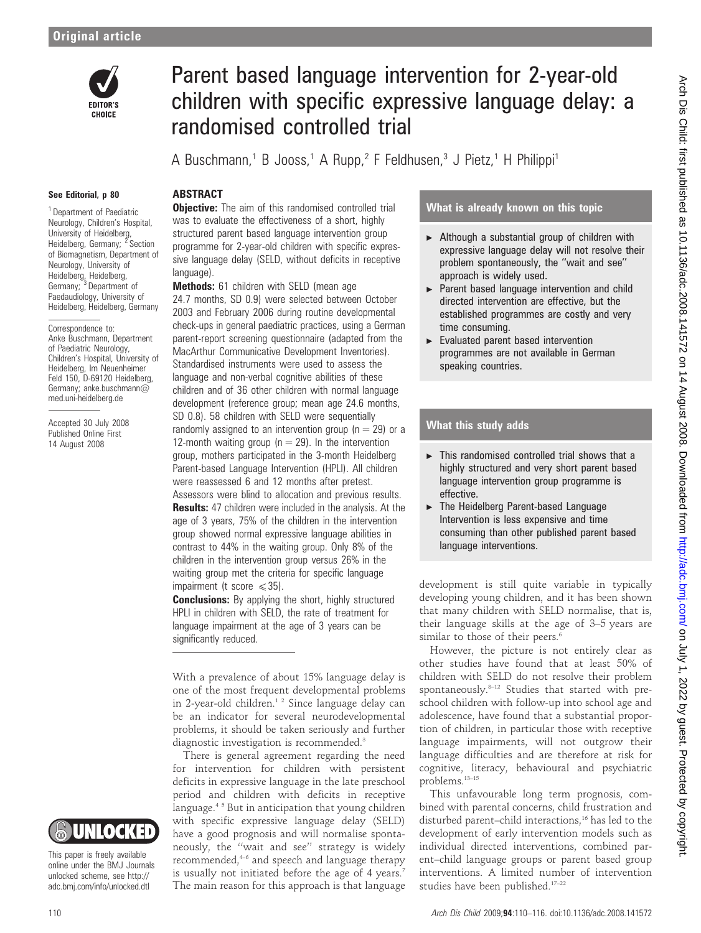

# Parent based language intervention for 2-year-old children with specific expressive language delay: a randomised controlled trial

A Buschmann,<sup>1</sup> B Jooss,<sup>1</sup> A Rupp,<sup>2</sup> F Feldhusen,<sup>3</sup> J Pietz,<sup>1</sup> H Philippi<sup>1</sup>

#### See Editorial, p 80

<sup>1</sup> Department of Paediatric Neurology, Children's Hospital, University of Heidelberg,<br>Heidelberg, Germany; <sup>2</sup> Section of Biomagnetism, Department of Neurology, University of Heidelberg, Heidelberg,<br>Germany; <sup>3</sup> Department of Paedaudiology, University of Heidelberg, Heidelberg, Germany

Correspondence to: Anke Buschmann, Department of Paediatric Neurology, Children's Hospital, University of Heidelberg, Im Neuenheimer Feld 150, D-69120 Heidelberg, Germany; anke.buschmann@ med.uni-heidelberg.de

Accepted 30 July 2008 Published Online First 14 August 2008

## **ABSTRACT**

**Objective:** The aim of this randomised controlled trial was to evaluate the effectiveness of a short, highly structured parent based language intervention group programme for 2-year-old children with specific expressive language delay (SELD, without deficits in receptive language).

Methods: 61 children with SELD (mean age 24.7 months, SD 0.9) were selected between October 2003 and February 2006 during routine developmental check-ups in general paediatric practices, using a German parent-report screening questionnaire (adapted from the MacArthur Communicative Development Inventories). Standardised instruments were used to assess the language and non-verbal cognitive abilities of these children and of 36 other children with normal language development (reference group; mean age 24.6 months, SD 0.8). 58 children with SELD were sequentially randomly assigned to an intervention group ( $n = 29$ ) or a 12-month waiting group ( $n = 29$ ). In the intervention group, mothers participated in the 3-month Heidelberg Parent-based Language Intervention (HPLI). All children were reassessed 6 and 12 months after pretest. Assessors were blind to allocation and previous results. Results: 47 children were included in the analysis. At the age of 3 years, 75% of the children in the intervention group showed normal expressive language abilities in contrast to 44% in the waiting group. Only 8% of the children in the intervention group versus 26% in the waiting group met the criteria for specific language impairment (t score  $\leq 35$ ).

**Conclusions:** By applying the short, highly structured HPLI in children with SELD, the rate of treatment for language impairment at the age of 3 years can be significantly reduced.

With a prevalence of about 15% language delay is one of the most frequent developmental problems in 2-year-old children.<sup>12</sup> Since language delay can be an indicator for several neurodevelopmental problems, it should be taken seriously and further diagnostic investigation is recommended.<sup>3</sup>

There is general agreement regarding the need for intervention for children with persistent deficits in expressive language in the late preschool period and children with deficits in receptive language.<sup>45</sup> But in anticipation that young children with specific expressive language delay (SELD) have a good prognosis and will normalise spontaneously, the ''wait and see'' strategy is widely recommended,<sup>4-6</sup> and speech and language therapy is usually not initiated before the age of 4 years.<sup>7</sup> The main reason for this approach is that language

## What is already known on this topic

- $\blacktriangleright$  Although a substantial group of children with expressive language delay will not resolve their problem spontaneously, the ''wait and see'' approach is widely used.
- $\blacktriangleright$  Parent based language intervention and child directed intervention are effective, but the established programmes are costly and very time consuming.
- $\blacktriangleright$  Evaluated parent based intervention programmes are not available in German speaking countries.

## What this study adds

- $\blacktriangleright$  This randomised controlled trial shows that a highly structured and very short parent based language intervention group programme is effective.
- $\blacktriangleright$  The Heidelberg Parent-based Language Intervention is less expensive and time consuming than other published parent based language interventions.

development is still quite variable in typically developing young children, and it has been shown that many children with SELD normalise, that is, their language skills at the age of 3–5 years are similar to those of their peers.<sup>6</sup>

However, the picture is not entirely clear as other studies have found that at least 50% of children with SELD do not resolve their problem spontaneously.<sup>8-12</sup> Studies that started with preschool children with follow-up into school age and adolescence, have found that a substantial proportion of children, in particular those with receptive language impairments, will not outgrow their language difficulties and are therefore at risk for cognitive, literacy, behavioural and psychiatric problems.13–15

This unfavourable long term prognosis, combined with parental concerns, child frustration and disturbed parent-child interactions,<sup>16</sup> has led to the development of early intervention models such as individual directed interventions, combined parent–child language groups or parent based group interventions. A limited number of intervention studies have been published.17–22

# **& UNLOCKED**

This paper is freely available online under the BMJ Journals unlocked scheme, see http:// adc.bmj.com/info/unlocked.dtl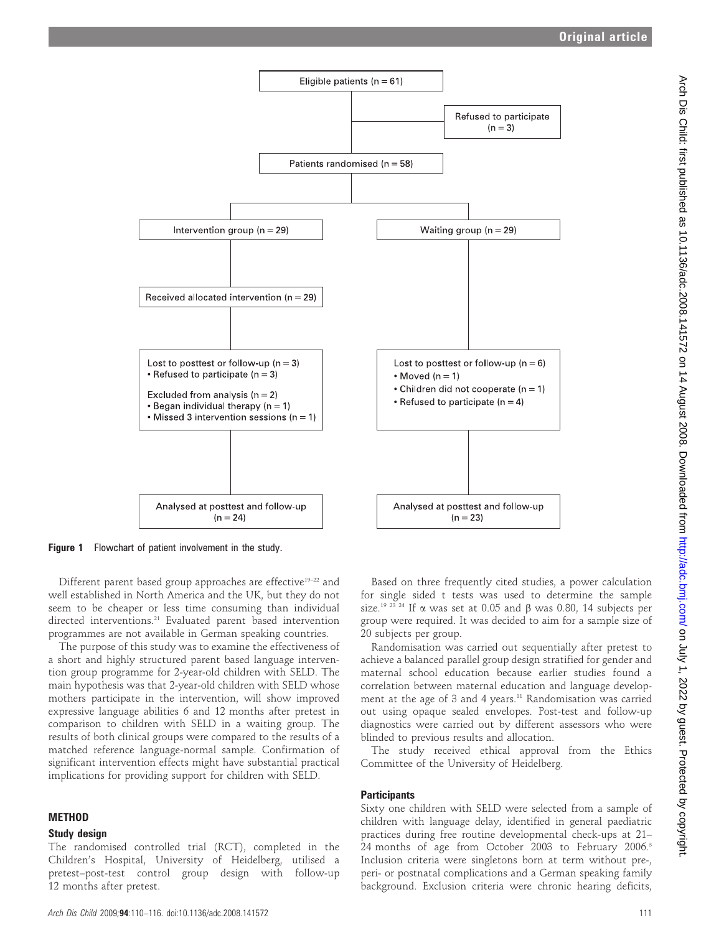

Figure 1 Flowchart of patient involvement in the study.

Different parent based group approaches are effective<sup>19-22</sup> and well established in North America and the UK, but they do not seem to be cheaper or less time consuming than individual directed interventions.<sup>21</sup> Evaluated parent based intervention programmes are not available in German speaking countries.

The purpose of this study was to examine the effectiveness of a short and highly structured parent based language intervention group programme for 2-year-old children with SELD. The main hypothesis was that 2-year-old children with SELD whose mothers participate in the intervention, will show improved expressive language abilities 6 and 12 months after pretest in comparison to children with SELD in a waiting group. The results of both clinical groups were compared to the results of a matched reference language-normal sample. Confirmation of significant intervention effects might have substantial practical implications for providing support for children with SELD.

## **METHOD**

#### Study design

The randomised controlled trial (RCT), completed in the Children's Hospital, University of Heidelberg, utilised a pretest–post-test control group design with follow-up 12 months after pretest.

Arch Dis Child 2009;94:110-116. doi:10.1136/adc.2008.141572 111

Based on three frequently cited studies, a power calculation for single sided t tests was used to determine the sample size.<sup>19 23</sup> <sup>24</sup> If  $\alpha$  was set at 0.05 and  $\beta$  was 0.80, 14 subjects per group were required. It was decided to aim for a sample size of 20 subjects per group.

Randomisation was carried out sequentially after pretest to achieve a balanced parallel group design stratified for gender and maternal school education because earlier studies found a correlation between maternal education and language development at the age of 3 and 4 years.<sup>11</sup> Randomisation was carried out using opaque sealed envelopes. Post-test and follow-up diagnostics were carried out by different assessors who were blinded to previous results and allocation.

The study received ethical approval from the Ethics Committee of the University of Heidelberg.

## **Participants**

Sixty one children with SELD were selected from a sample of children with language delay, identified in general paediatric practices during free routine developmental check-ups at 21– 24 months of age from October 2003 to February 2006.<sup>3</sup> Inclusion criteria were singletons born at term without pre-, peri- or postnatal complications and a German speaking family background. Exclusion criteria were chronic hearing deficits,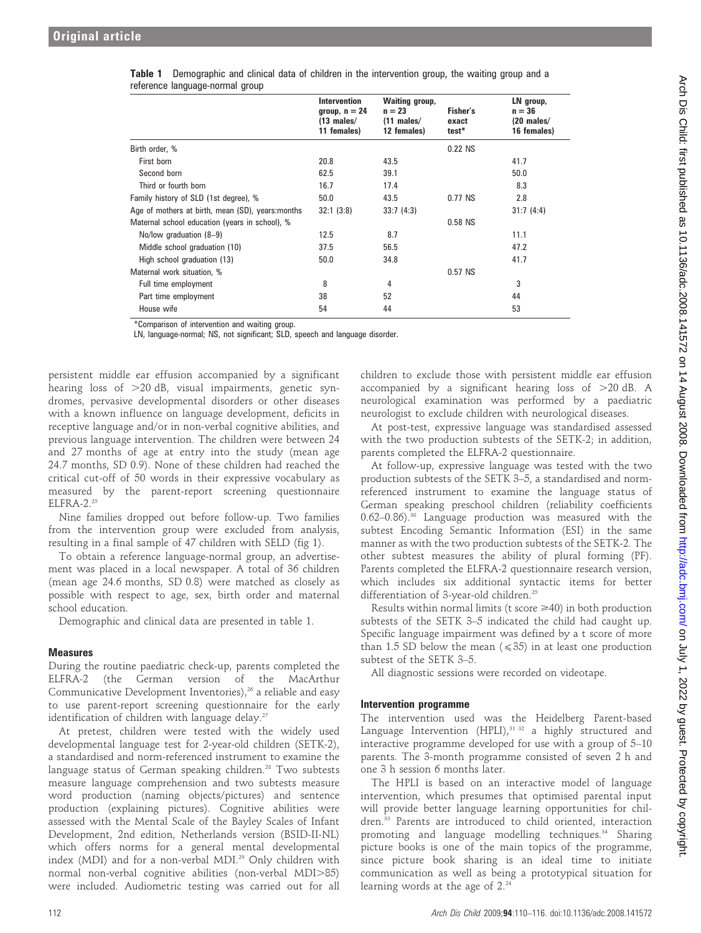|                                                   | Intervention<br>group, $n = 24$<br>$(13 \text{ males}$<br>11 females) | Waiting group,<br>$n = 23$<br>$(11$ males/<br>12 females) | Fisher's<br>exact<br>test* | LN group,<br>$n = 36$<br>$(20 \text{ males}$<br>16 females) |
|---------------------------------------------------|-----------------------------------------------------------------------|-----------------------------------------------------------|----------------------------|-------------------------------------------------------------|
| Birth order, %                                    |                                                                       |                                                           | 0.22 NS                    |                                                             |
| First born                                        | 20.8                                                                  | 43.5                                                      |                            | 41.7                                                        |
| Second born                                       | 62.5                                                                  | 39.1                                                      |                            | 50.0                                                        |
| Third or fourth born                              | 16.7                                                                  | 17.4                                                      |                            | 8.3                                                         |
| Family history of SLD (1st degree), %             | 50.0                                                                  | 43.5                                                      | 0.77 NS                    | 2.8                                                         |
| Age of mothers at birth, mean (SD), years: months | 32:1(3:8)                                                             | 33:7(4:3)                                                 |                            | 31:7(4:4)                                                   |
| Maternal school education (years in school), %    |                                                                       |                                                           | 0.58 NS                    |                                                             |
| No/low graduation (8-9)                           | 12.5                                                                  | 8.7                                                       |                            | 11.1                                                        |
| Middle school graduation (10)                     | 37.5                                                                  | 56.5                                                      |                            | 47.2                                                        |
| High school graduation (13)                       | 50.0                                                                  | 34.8                                                      |                            | 41.7                                                        |
| Maternal work situation, %                        |                                                                       |                                                           | 0.57 NS                    |                                                             |
| Full time employment                              | 8                                                                     | 4                                                         |                            | 3                                                           |
| Part time employment                              | 38                                                                    | 52                                                        |                            | 44                                                          |
| House wife                                        | 54                                                                    | 44                                                        |                            | 53                                                          |
|                                                   |                                                                       |                                                           |                            |                                                             |

Table 1 Demographic and clinical data of children in the intervention group, the waiting group and a reference language-normal group

\*Comparison of intervention and waiting group.

LN, language-normal; NS, not significant; SLD, speech and language disorder.

persistent middle ear effusion accompanied by a significant hearing loss of  $>20$  dB, visual impairments, genetic syndromes, pervasive developmental disorders or other diseases with a known influence on language development, deficits in receptive language and/or in non-verbal cognitive abilities, and previous language intervention. The children were between 24 and 27 months of age at entry into the study (mean age 24.7 months, SD 0.9). None of these children had reached the critical cut-off of 50 words in their expressive vocabulary as measured by the parent-report screening questionnaire ELFRA-2.25

Nine families dropped out before follow-up. Two families from the intervention group were excluded from analysis, resulting in a final sample of 47 children with SELD (fig 1).

To obtain a reference language-normal group, an advertisement was placed in a local newspaper. A total of 36 children (mean age 24.6 months, SD 0.8) were matched as closely as possible with respect to age, sex, birth order and maternal school education.

Demographic and clinical data are presented in table 1.

## Measures

During the routine paediatric check-up, parents completed the ELFRA-2 (the German version of the MacArthur Communicative Development Inventories), $26$  a reliable and easy to use parent-report screening questionnaire for the early identification of children with language delay.<sup>27</sup>

At pretest, children were tested with the widely used developmental language test for 2-year-old children (SETK-2), a standardised and norm-referenced instrument to examine the language status of German speaking children.<sup>28</sup> Two subtests measure language comprehension and two subtests measure word production (naming objects/pictures) and sentence production (explaining pictures). Cognitive abilities were assessed with the Mental Scale of the Bayley Scales of Infant Development, 2nd edition, Netherlands version (BSID-II-NL) which offers norms for a general mental developmental index (MDI) and for a non-verbal MDI.<sup>29</sup> Only children with normal non-verbal cognitive abilities (non-verbal MDI>85) were included. Audiometric testing was carried out for all children to exclude those with persistent middle ear effusion accompanied by a significant hearing loss of  $>20$  dB. A neurological examination was performed by a paediatric neurologist to exclude children with neurological diseases.

At post-test, expressive language was standardised assessed with the two production subtests of the SETK-2; in addition, parents completed the ELFRA-2 questionnaire.

At follow-up, expressive language was tested with the two production subtests of the SETK 3–5, a standardised and normreferenced instrument to examine the language status of German speaking preschool children (reliability coefficients 0.62–0.86).30 Language production was measured with the subtest Encoding Semantic Information (ESI) in the same manner as with the two production subtests of the SETK-2. The other subtest measures the ability of plural forming (PF). Parents completed the ELFRA-2 questionnaire research version, which includes six additional syntactic items for better differentiation of 3-year-old children.<sup>25</sup>

Results within normal limits ( $t$  score  $\geq 40$ ) in both production subtests of the SETK 3–5 indicated the child had caught up. Specific language impairment was defined by a t score of more than 1.5 SD below the mean  $(\leq 35)$  in at least one production subtest of the SETK 3–5.

All diagnostic sessions were recorded on videotape.

## Intervention programme

The intervention used was the Heidelberg Parent-based Language Intervention (HPLI), $3132$  a highly structured and interactive programme developed for use with a group of 5–10 parents. The 3-month programme consisted of seven 2 h and one 3 h session 6 months later.

The HPLI is based on an interactive model of language intervention, which presumes that optimised parental input will provide better language learning opportunities for children.<sup>33</sup> Parents are introduced to child oriented, interaction promoting and language modelling techniques.<sup>34</sup> Sharing picture books is one of the main topics of the programme, since picture book sharing is an ideal time to initiate communication as well as being a prototypical situation for learning words at the age of 2.<sup>24</sup>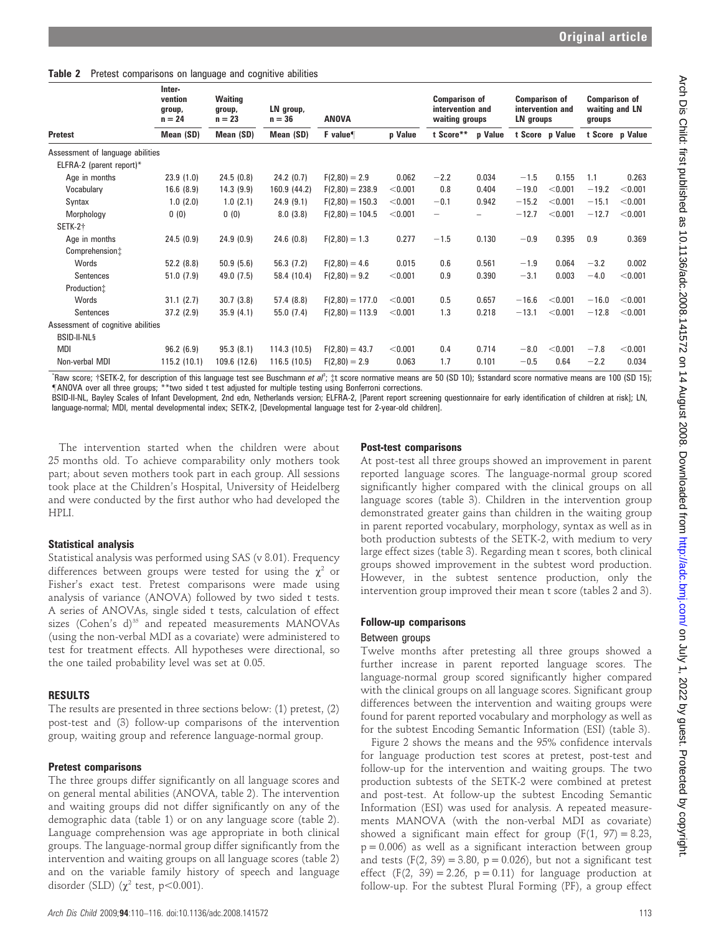|  |  | Table 2 Pretest comparisons on language and cognitive abilities |  |  |  |  |  |
|--|--|-----------------------------------------------------------------|--|--|--|--|--|
|--|--|-----------------------------------------------------------------|--|--|--|--|--|

|                                   | Inter-<br>vention<br>group,<br>$n = 24$ | <b>Waiting</b><br>group,<br>$n = 23$ | LN group,<br>$n = 36$ | <b>ANOVA</b>         |         | <b>Comparison of</b><br>intervention and<br>waiting groups |                          | <b>Comparison of</b><br>intervention and<br>LN groups |                 | <b>Comparison of</b><br>waiting and LN<br>groups |         |
|-----------------------------------|-----------------------------------------|--------------------------------------|-----------------------|----------------------|---------|------------------------------------------------------------|--------------------------|-------------------------------------------------------|-----------------|--------------------------------------------------|---------|
| <b>Pretest</b>                    | Mean (SD)                               | Mean (SD)                            | Mean (SD)             | F value <sup>q</sup> | p Value | t Score**                                                  | p Value                  |                                                       | t Score p Value | t Score                                          | p Value |
| Assessment of language abilities  |                                         |                                      |                       |                      |         |                                                            |                          |                                                       |                 |                                                  |         |
| ELFRA-2 (parent report)*          |                                         |                                      |                       |                      |         |                                                            |                          |                                                       |                 |                                                  |         |
| Age in months                     | 23.9(1.0)                               | 24.5(0.8)                            | 24.2(0.7)             | $F(2,80) = 2.9$      | 0.062   | $-2.2$                                                     | 0.034                    | $-1.5$                                                | 0.155           | 1.1                                              | 0.263   |
| Vocabulary                        | 16.6(8.9)                               | 14.3(9.9)                            | 160.9 (44.2)          | $F(2,80) = 238.9$    | < 0.001 | 0.8                                                        | 0.404                    | $-19.0$                                               | < 0.001         | $-19.2$                                          | < 0.001 |
| Syntax                            | 1.0(2.0)                                | 1.0(2.1)                             | 24.9(9.1)             | $F(2,80) = 150.3$    | < 0.001 | $-0.1$                                                     | 0.942                    | $-15.2$                                               | < 0.001         | $-15.1$                                          | < 0.001 |
| Morphology                        | 0(0)                                    | 0(0)                                 | 8.0(3.8)              | $F(2,80) = 104.5$    | < 0.001 | $\overline{\phantom{m}}$                                   | $\overline{\phantom{0}}$ | $-12.7$                                               | < 0.001         | $-12.7$                                          | < 0.001 |
| SETK-2+                           |                                         |                                      |                       |                      |         |                                                            |                          |                                                       |                 |                                                  |         |
| Age in months                     | 24.5(0.9)                               | 24.9(0.9)                            | 24.6(0.8)             | $F(2,80) = 1.3$      | 0.277   | $-1.5$                                                     | 0.130                    | $-0.9$                                                | 0.395           | 0.9                                              | 0.369   |
| Comprehension:                    |                                         |                                      |                       |                      |         |                                                            |                          |                                                       |                 |                                                  |         |
| Words                             | 52.2(8.8)                               | 50.9(5.6)                            | 56.3(7.2)             | $F(2,80) = 4.6$      | 0.015   | 0.6                                                        | 0.561                    | $-1.9$                                                | 0.064           | $-3.2$                                           | 0.002   |
| Sentences                         | 51.0(7.9)                               | 49.0(7.5)                            | 58.4 (10.4)           | $F(2,80) = 9.2$      | < 0.001 | 0.9                                                        | 0.390                    | $-3.1$                                                | 0.003           | $-4.0$                                           | < 0.001 |
| Productiont                       |                                         |                                      |                       |                      |         |                                                            |                          |                                                       |                 |                                                  |         |
| Words                             | 31.1(2.7)                               | 30.7(3.8)                            | 57.4 (8.8)            | $F(2,80) = 177.0$    | < 0.001 | 0.5                                                        | 0.657                    | $-16.6$                                               | < 0.001         | $-16.0$                                          | < 0.001 |
| Sentences                         | 37.2(2.9)                               | 35.9(4.1)                            | 55.0(7.4)             | $F(2,80) = 113.9$    | < 0.001 | 1.3                                                        | 0.218                    | $-13.1$                                               | < 0.001         | $-12.8$                                          | < 0.001 |
| Assessment of cognitive abilities |                                         |                                      |                       |                      |         |                                                            |                          |                                                       |                 |                                                  |         |
| BSID-II-NLS                       |                                         |                                      |                       |                      |         |                                                            |                          |                                                       |                 |                                                  |         |
| <b>MDI</b>                        | 96.2(6.9)                               | 95.3(8.1)                            | 114.3 (10.5)          | $F(2,80) = 43.7$     | < 0.001 | 0.4                                                        | 0.714                    | $-8.0$                                                | < 0.001         | $-7.8$                                           | < 0.001 |
| Non-verbal MDI                    | 115.2 (10.1)                            | 109.6 (12.6)                         | 116.5 (10.5)          | $F(2,80) = 2.9$      | 0.063   | 1.7                                                        | 0.101                    | $-0.5$                                                | 0.64            | $-2.2$                                           | 0.034   |

"Raw score; †SETK-2, for description of this language test see Buschmann et al<sup>2</sup>; ‡t score normative means are 50 (SD 10); §standard score normative means are 100 (SD 15); "ANOVA over all three groups; \*\*two sided t test adjusted for multiple testing using Bonferroni corrections.

BSID-II-NL, Bayley Scales of Infant Development, 2nd edn, Netherlands version; ELFRA-2, [Parent report screening questionnaire for early identification of children at risk]; LN, language-normal; MDI, mental developmental index; SETK-2, [Developmental language test for 2-year-old children].

The intervention started when the children were about 25 months old. To achieve comparability only mothers took part; about seven mothers took part in each group. All sessions took place at the Children's Hospital, University of Heidelberg and were conducted by the first author who had developed the HPLI.

## Statistical analysis

Statistical analysis was performed using SAS (v 8.01). Frequency differences between groups were tested for using the  $\chi^2$  or Fisher's exact test. Pretest comparisons were made using analysis of variance (ANOVA) followed by two sided t tests. A series of ANOVAs, single sided t tests, calculation of effect sizes (Cohen's d)<sup>35</sup> and repeated measurements MANOVAs (using the non-verbal MDI as a covariate) were administered to test for treatment effects. All hypotheses were directional, so the one tailed probability level was set at 0.05.

## RESULTS

The results are presented in three sections below: (1) pretest, (2) post-test and (3) follow-up comparisons of the intervention group, waiting group and reference language-normal group.

## Pretest comparisons

The three groups differ significantly on all language scores and on general mental abilities (ANOVA, table 2). The intervention and waiting groups did not differ significantly on any of the demographic data (table 1) or on any language score (table 2). Language comprehension was age appropriate in both clinical groups. The language-normal group differ significantly from the intervention and waiting groups on all language scores (table 2) and on the variable family history of speech and language disorder (SLD)  $(\chi^2 \text{ test}, \text{ p} < 0.001)$ .

## Post-test comparisons

At post-test all three groups showed an improvement in parent reported language scores. The language-normal group scored significantly higher compared with the clinical groups on all language scores (table 3). Children in the intervention group demonstrated greater gains than children in the waiting group in parent reported vocabulary, morphology, syntax as well as in both production subtests of the SETK-2, with medium to very large effect sizes (table 3). Regarding mean t scores, both clinical groups showed improvement in the subtest word production. However, in the subtest sentence production, only the intervention group improved their mean t score (tables 2 and 3).

## Follow-up comparisons

## Between groups

Twelve months after pretesting all three groups showed a further increase in parent reported language scores. The language-normal group scored significantly higher compared with the clinical groups on all language scores. Significant group differences between the intervention and waiting groups were found for parent reported vocabulary and morphology as well as for the subtest Encoding Semantic Information (ESI) (table 3).

Figure 2 shows the means and the 95% confidence intervals for language production test scores at pretest, post-test and follow-up for the intervention and waiting groups. The two production subtests of the SETK-2 were combined at pretest and post-test. At follow-up the subtest Encoding Semantic Information (ESI) was used for analysis. A repeated measurements MANOVA (with the non-verbal MDI as covariate) showed a significant main effect for group  $(F(1, 97) = 8.23,$  $p = 0.006$ ) as well as a significant interaction between group and tests  $(F(2, 39) = 3.80, p = 0.026)$ , but not a significant test effect (F(2, 39) = 2.26,  $p = 0.11$ ) for language production at follow-up. For the subtest Plural Forming (PF), a group effect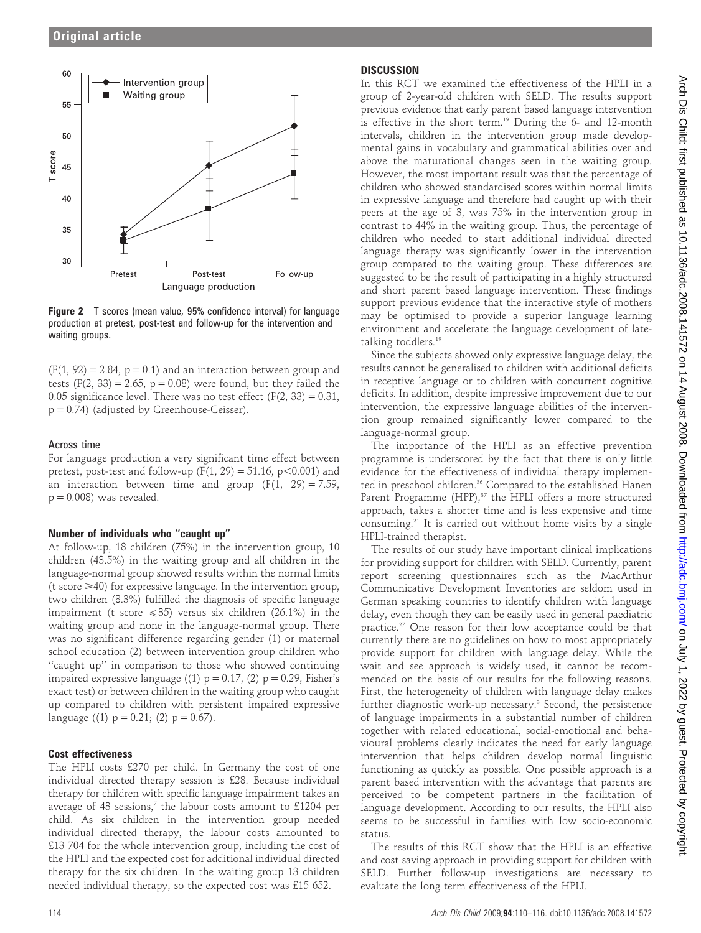

Figure 2 T scores (mean value, 95% confidence interval) for language production at pretest, post-test and follow-up for the intervention and waiting groups.

 $(F(1, 92) = 2.84, p = 0.1)$  and an interaction between group and tests  $(F(2, 33) = 2.65, p = 0.08)$  were found, but they failed the 0.05 significance level. There was no test effect  $(F(2, 33) = 0.31,$  $p = 0.74$ ) (adjusted by Greenhouse-Geisser).

#### Across time

For language production a very significant time effect between pretest, post-test and follow-up (F(1, 29) = 51.16, p<0.001) and an interaction between time and group  $(F(1, 29) = 7.59)$ ,  $p = 0.008$ ) was revealed.

## Number of individuals who ''caught up''

At follow-up, 18 children (75%) in the intervention group, 10 children (43.5%) in the waiting group and all children in the language-normal group showed results within the normal limits  $(t \text{ score} \geq 40)$  for expressive language. In the intervention group, two children (8.3%) fulfilled the diagnosis of specific language impairment (t score  $\leq 35$ ) versus six children (26.1%) in the waiting group and none in the language-normal group. There was no significant difference regarding gender (1) or maternal school education (2) between intervention group children who ''caught up'' in comparison to those who showed continuing impaired expressive language ((1)  $p = 0.17$ , (2)  $p = 0.29$ , Fisher's exact test) or between children in the waiting group who caught up compared to children with persistent impaired expressive language  $((1)$   $p = 0.21$ ;  $(2)$   $p = 0.67$ .

## Cost effectiveness

The HPLI costs £270 per child. In Germany the cost of one individual directed therapy session is £28. Because individual therapy for children with specific language impairment takes an average of 43 sessions,<sup>7</sup> the labour costs amount to £1204 per child. As six children in the intervention group needed individual directed therapy, the labour costs amounted to £13 704 for the whole intervention group, including the cost of the HPLI and the expected cost for additional individual directed therapy for the six children. In the waiting group 13 children needed individual therapy, so the expected cost was £15 652.

## **DISCUSSION**

In this RCT we examined the effectiveness of the HPLI in a group of 2-year-old children with SELD. The results support previous evidence that early parent based language intervention is effective in the short term.<sup>19</sup> During the 6- and 12-month intervals, children in the intervention group made developmental gains in vocabulary and grammatical abilities over and above the maturational changes seen in the waiting group. However, the most important result was that the percentage of children who showed standardised scores within normal limits in expressive language and therefore had caught up with their peers at the age of 3, was 75% in the intervention group in contrast to 44% in the waiting group. Thus, the percentage of children who needed to start additional individual directed language therapy was significantly lower in the intervention group compared to the waiting group. These differences are suggested to be the result of participating in a highly structured and short parent based language intervention. These findings support previous evidence that the interactive style of mothers may be optimised to provide a superior language learning environment and accelerate the language development of latetalking toddlers.<sup>19</sup>

Since the subjects showed only expressive language delay, the results cannot be generalised to children with additional deficits in receptive language or to children with concurrent cognitive deficits. In addition, despite impressive improvement due to our intervention, the expressive language abilities of the intervention group remained significantly lower compared to the language-normal group.

The importance of the HPLI as an effective prevention programme is underscored by the fact that there is only little evidence for the effectiveness of individual therapy implemented in preschool children.<sup>36</sup> Compared to the established Hanen Parent Programme (HPP),<sup>37</sup> the HPLI offers a more structured approach, takes a shorter time and is less expensive and time consuming.21 It is carried out without home visits by a single HPLI-trained therapist.

The results of our study have important clinical implications for providing support for children with SELD. Currently, parent report screening questionnaires such as the MacArthur Communicative Development Inventories are seldom used in German speaking countries to identify children with language delay, even though they can be easily used in general paediatric practice.<sup>27</sup> One reason for their low acceptance could be that currently there are no guidelines on how to most appropriately provide support for children with language delay. While the wait and see approach is widely used, it cannot be recommended on the basis of our results for the following reasons. First, the heterogeneity of children with language delay makes further diagnostic work-up necessary.<sup>3</sup> Second, the persistence of language impairments in a substantial number of children together with related educational, social-emotional and behavioural problems clearly indicates the need for early language intervention that helps children develop normal linguistic functioning as quickly as possible. One possible approach is a parent based intervention with the advantage that parents are perceived to be competent partners in the facilitation of language development. According to our results, the HPLI also seems to be successful in families with low socio-economic status.

The results of this RCT show that the HPLI is an effective and cost saving approach in providing support for children with SELD. Further follow-up investigations are necessary to evaluate the long term effectiveness of the HPLI.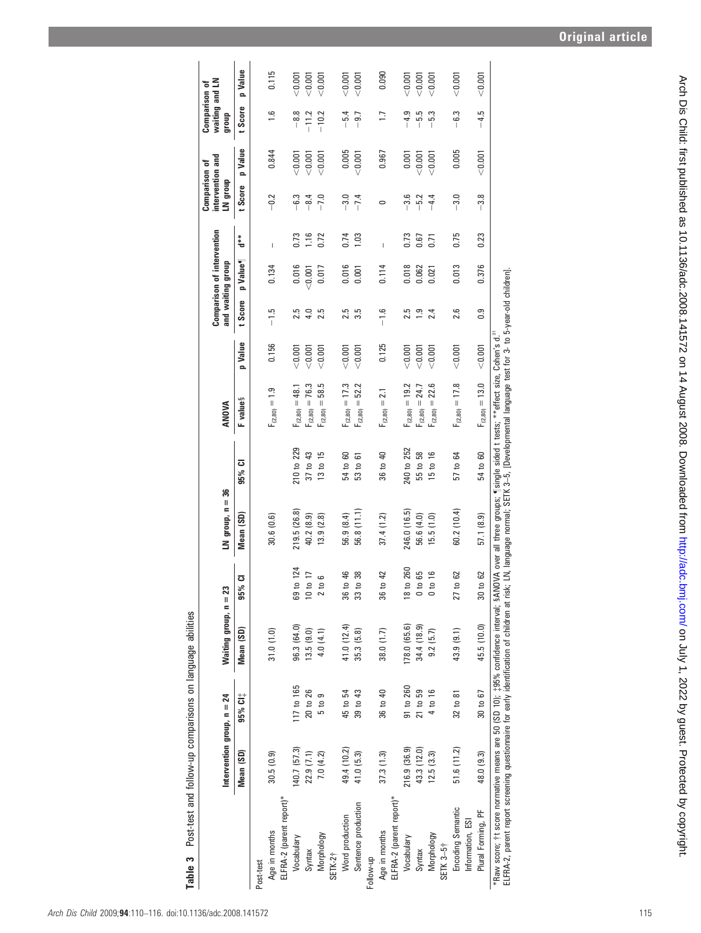Table 3 Post-test and follow-up comparisons on language abilities Table 3 Post-test and follow-up comparisons on language abilities

|                                                                                                                                                                                                                                                                              |                              |                     |                         |                                    |                    |                        | <b>ANOVA</b>                                                                                |         |                  | Comparison of intervention |                | intervention and<br>Comparison of |         | waiting and LN<br>Comparison of |         |
|------------------------------------------------------------------------------------------------------------------------------------------------------------------------------------------------------------------------------------------------------------------------------|------------------------------|---------------------|-------------------------|------------------------------------|--------------------|------------------------|---------------------------------------------------------------------------------------------|---------|------------------|----------------------------|----------------|-----------------------------------|---------|---------------------------------|---------|
|                                                                                                                                                                                                                                                                              | Intervention group, $n = 24$ |                     | Waiting group, $n = 23$ |                                    | LN group, $n = 36$ |                        |                                                                                             |         |                  | and waiting group          |                | <b>CN</b> group                   |         | dnoub                           |         |
|                                                                                                                                                                                                                                                                              | Mean (SD)                    | $95%$ CI $\ddagger$ | Mean (SD)               | ಠ<br>95%                           | Mean (SD           | ō<br>95%               | F value <sup>§</sup>                                                                        | p Value | t Score          | p Value <sup>4</sup>       | $\mathbf{d}^*$ | t Score                           | p Value | t Score                         | p Value |
| Post-test                                                                                                                                                                                                                                                                    |                              |                     |                         |                                    |                    |                        |                                                                                             |         |                  |                            |                |                                   |         |                                 |         |
| Age in months                                                                                                                                                                                                                                                                | 30.5(0.9)                    |                     | 31.0(1.0)               |                                    | 30.6(0.6)          |                        | $F_{(2,80)} = 1.9$                                                                          | 0.156   | $-1.5$           | 0.134                      | $\overline{1}$ | $-0.2$                            | 0.844   | $\frac{6}{1}$                   | 0.115   |
| ELFRA-2 (parent report)*                                                                                                                                                                                                                                                     |                              |                     |                         |                                    |                    |                        |                                                                                             |         |                  |                            |                |                                   |         |                                 |         |
| Vocabulary                                                                                                                                                                                                                                                                   | 140.7 (57.3)                 | 117 to 165          | 96.3 (64.0)             | 124<br>69 to                       | 219.5 (26.8)       | 210 to 229             | $= 48.1$<br>$F_{(2,80)}$                                                                    | < 0.001 | 2.5              | 0.016                      | 0.73           | $-6.3$                            | < 0.001 | $-8.8$                          | < 0.001 |
| Syntax                                                                                                                                                                                                                                                                       | 22.9 (7.1)                   | 20 to 26            | 13.5(9.0)               | $\overline{1}$<br>10 <sub>to</sub> | 40.2 (8.9)         | 43<br>37 to 4          | $= 76.3$<br>$F_{(2,80)}$                                                                    | < 0.001 | 4.0              | < 0.001                    | 1.16           | $-8.4$                            | < 0.001 | $-11.2$                         | < 0.001 |
| Morphology                                                                                                                                                                                                                                                                   | 7.0(4.2)                     | $5$ to $9$          | 4.0 (4.1)               | ဖ<br>2 to                          | 13.9(2.8)          | 13 to 15               | 58.5<br>$F_{(2,80)} = 5$                                                                    | < 0.001 | 2.5              | 0.017                      | 0.72           | $-7.0$                            | < 0.001 | $-10.2$                         | < 0.001 |
| SETK-2†                                                                                                                                                                                                                                                                      |                              |                     |                         |                                    |                    |                        |                                                                                             |         |                  |                            |                |                                   |         |                                 |         |
| Word production                                                                                                                                                                                                                                                              | 49.4 (10.2)                  | 45 to 54            | 41.0 (12.4)             | 46<br>36 to                        | 56.9 (8.4)         | 8<br>54 to 1           | $F_{(2,80)} = 17.3$                                                                         | < 0.001 | 2.5              | 0.016                      | 0.74           | $-3.0$                            | 0.005   | $-5.4$                          | < 0.001 |
| Sentence production                                                                                                                                                                                                                                                          | 41.0 (5.3)                   | 39 to 43            | 35.3(5.8)               | 38<br>33 <sub>to</sub>             | 56.8 (11.1)        | 53 to 61               | $F_{(2,80)} = 52.2$                                                                         | < 0.001 | 3.5              | 0.001                      | 1.03           | $-7.4$                            | < 0.001 | 9.7                             | < 0.001 |
| Follow-up                                                                                                                                                                                                                                                                    |                              |                     |                         |                                    |                    |                        |                                                                                             |         |                  |                            |                |                                   |         |                                 |         |
| Age in months                                                                                                                                                                                                                                                                | 37.3(1.3)                    | 36 to 40            | 38.0(1.7)               | 42<br>36 <sub>to</sub>             | 37.4(1.2)          | 36 to 40               | $F_{(2,80)} = 2.1$                                                                          | 0.125   | $-1.6$           | 0.114                      | Ï              | $\circ$                           | 0.967   | $\overline{11}$                 | 0.090   |
| ELFRA-2 (parent report)*                                                                                                                                                                                                                                                     |                              |                     |                         |                                    |                    |                        |                                                                                             |         |                  |                            |                |                                   |         |                                 |         |
| Vocabulary                                                                                                                                                                                                                                                                   | 216.9 (36.9)                 | 91 to 260           | 178.0 (65.6)            | 260<br>18 <sub>to</sub>            | 246.0 (16.5)       | 240 to 252             | $F_{(2,80)} = 19.2$                                                                         | < 0.001 | 2.5              | 0.018                      | 0.73           | $-3.6$                            | 0.001   | $-4.9$                          | < 0.001 |
| Syntax                                                                                                                                                                                                                                                                       | 43.3 (12.0)                  | $21$ to $59$        | 34.4(18.9)              | 65<br>$\frac{10}{2}$               | 56.6 (4.0)         | 58<br>55 to            | 24.7<br>ī<br>$F_{(2,80)}$                                                                   | < 0.001 | $\frac{0}{1}$    | 0.062                      | 0.67           | $-5.2$                            | < 0.001 | $-5.5$                          | < 0.001 |
| Morphology                                                                                                                                                                                                                                                                   | 12.5(3.3)                    | 4 to 16             | 9.2(5.7)                | $\approx$<br>$\frac{10}{2}$        | 15.5(1.0)          | $\frac{6}{1}$<br>15 to | 22.6<br>$F_{(2,80)} = 7$                                                                    | < 0.001 | 2.4              | 0.021                      | 0.71           | $-4.4$                            | < 0.001 | 5.3                             | < 0.001 |
| SETK 3-5†                                                                                                                                                                                                                                                                    |                              |                     |                         |                                    |                    |                        |                                                                                             |         |                  |                            |                |                                   |         |                                 |         |
| Encoding Semantic                                                                                                                                                                                                                                                            | 51.6(11.2)                   | 32 to 81            | 43.9 (9.1)              | 29<br>$27$ to                      | 60.2 (10.4)        | 57 to 64               | $F_{(2,80)} = 17.8$                                                                         | < 0.001 | 2.6              | 0.013                      | 0.75           | $-3.0$                            | 0.005   | $-6.3$                          | < 0.001 |
| Information, ESI                                                                                                                                                                                                                                                             |                              |                     |                         |                                    |                    |                        |                                                                                             |         |                  |                            |                |                                   |         |                                 |         |
| Plural Forming, PF                                                                                                                                                                                                                                                           | 48.0 (9.3)                   | 30 to 67            | 45.5 (10.0)             | 29<br>30 <sub>to</sub>             | 57.1 (8.9)         | 54 to 60               | $F_{(2,80)} = 13.0$                                                                         | < 0.001 | $\overline{0}$ . | 0.376                      | 0.23           | $-3.8$                            | < 0.001 | $-4.5$                          | < 0.001 |
| *Raw score; it score normative means are 50 (SD 10); 195% confidence interval; SANOVA over all three groups; "(single sided t tests; **effect size, Cohen's d. <sup>31</sup><br>ELFRA-2, parent report screening questionnaire for early identification of children at risk; |                              |                     |                         |                                    |                    |                        | LN, language normal; SETK 3-5, [Developmental language test for 3- to 5-year-old children]. |         |                  |                            |                |                                   |         |                                 |         |

5